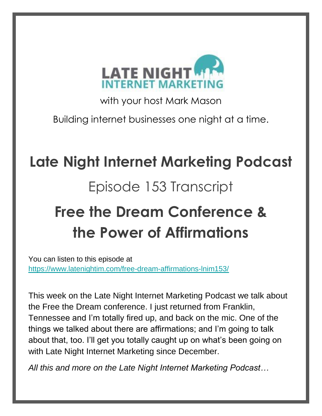

with your host Mark Mason

Building internet businesses one night at a time.

# **Late Night Internet Marketing Podcast**

## Episode 153 Transcript

# **Free the Dream Conference & the Power of Affirmations**

You can listen to this episode at <https://www.latenightim.com/free-dream-affirmations-lnim153/>

This week on the Late Night Internet Marketing Podcast we talk about the Free the Dream conference. I just returned from Franklin, Tennessee and I'm totally fired up, and back on the mic. One of the things we talked about there are affirmations; and I'm going to talk about that, too. I'll get you totally caught up on what's been going on with Late Night Internet Marketing since December.

*All this and more on the Late Night Internet Marketing Podcast…*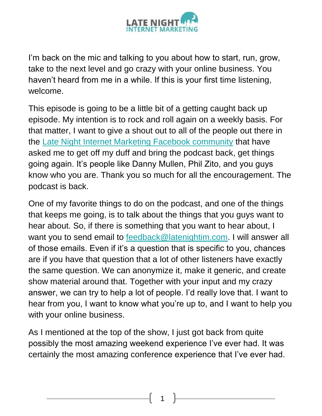

I'm back on the mic and talking to you about how to start, run, grow, take to the next level and go crazy with your online business. You haven't heard from me in a while. If this is your first time listening, welcome.

This episode is going to be a little bit of a getting caught back up episode. My intention is to rock and roll again on a weekly basis. For that matter, I want to give a shout out to all of the people out there in the [Late Night Internet Marketing Facebook community](https://www.facebook.com/groups/1616044861745701/) that have asked me to get off my duff and bring the podcast back, get things going again. It's people like Danny Mullen, Phil Zito, and you guys know who you are. Thank you so much for all the encouragement. The podcast is back.

One of my favorite things to do on the podcast, and one of the things that keeps me going, is to talk about the things that you guys want to hear about. So, if there is something that you want to hear about, I want you to send email to [feedback@latenightim.com.](mailto:feedback@latenightim.com) I will answer all of those emails. Even if it's a question that is specific to you, chances are if you have that question that a lot of other listeners have exactly the same question. We can anonymize it, make it generic, and create show material around that. Together with your input and my crazy answer, we can try to help a lot of people. I'd really love that. I want to hear from you, I want to know what you're up to, and I want to help you with your online business.

As I mentioned at the top of the show, I just got back from quite possibly the most amazing weekend experience I've ever had. It was certainly the most amazing conference experience that I've ever had.

1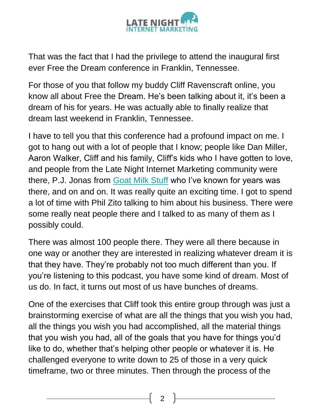

That was the fact that I had the privilege to attend the inaugural first ever Free the Dream conference in Franklin, Tennessee.

For those of you that follow my buddy Cliff Ravenscraft online, you know all about Free the Dream. He's been talking about it, it's been a dream of his for years. He was actually able to finally realize that dream last weekend in Franklin, Tennessee.

I have to tell you that this conference had a profound impact on me. I got to hang out with a lot of people that I know; people like Dan Miller, Aaron Walker, Cliff and his family, Cliff's kids who I have gotten to love, and people from the Late Night Internet Marketing community were there, P.J. Jonas from **Goat Milk Stuff** who I've known for years was there, and on and on. It was really quite an exciting time. I got to spend a lot of time with Phil Zito talking to him about his business. There were some really neat people there and I talked to as many of them as I possibly could.

There was almost 100 people there. They were all there because in one way or another they are interested in realizing whatever dream it is that they have. They're probably not too much different than you. If you're listening to this podcast, you have some kind of dream. Most of us do. In fact, it turns out most of us have bunches of dreams.

One of the exercises that Cliff took this entire group through was just a brainstorming exercise of what are all the things that you wish you had, all the things you wish you had accomplished, all the material things that you wish you had, all of the goals that you have for things you'd like to do, whether that's helping other people or whatever it is. He challenged everyone to write down to 25 of those in a very quick timeframe, two or three minutes. Then through the process of the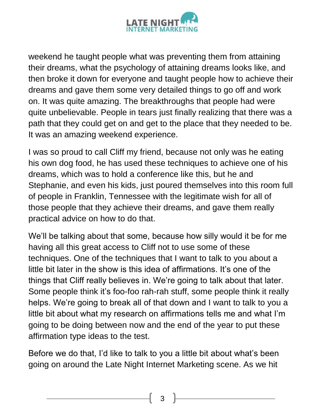

weekend he taught people what was preventing them from attaining their dreams, what the psychology of attaining dreams looks like, and then broke it down for everyone and taught people how to achieve their dreams and gave them some very detailed things to go off and work on. It was quite amazing. The breakthroughs that people had were quite unbelievable. People in tears just finally realizing that there was a path that they could get on and get to the place that they needed to be. It was an amazing weekend experience.

I was so proud to call Cliff my friend, because not only was he eating his own dog food, he has used these techniques to achieve one of his dreams, which was to hold a conference like this, but he and Stephanie, and even his kids, just poured themselves into this room full of people in Franklin, Tennessee with the legitimate wish for all of those people that they achieve their dreams, and gave them really practical advice on how to do that.

We'll be talking about that some, because how silly would it be for me having all this great access to Cliff not to use some of these techniques. One of the techniques that I want to talk to you about a little bit later in the show is this idea of affirmations. It's one of the things that Cliff really believes in. We're going to talk about that later. Some people think it's foo-foo rah-rah stuff, some people think it really helps. We're going to break all of that down and I want to talk to you a little bit about what my research on affirmations tells me and what I'm going to be doing between now and the end of the year to put these affirmation type ideas to the test.

Before we do that, I'd like to talk to you a little bit about what's been going on around the Late Night Internet Marketing scene. As we hit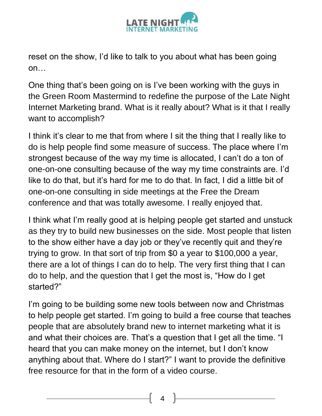

reset on the show, I'd like to talk to you about what has been going on…

One thing that's been going on is I've been working with the guys in the Green Room Mastermind to redefine the purpose of the Late Night Internet Marketing brand. What is it really about? What is it that I really want to accomplish?

I think it's clear to me that from where I sit the thing that I really like to do is help people find some measure of success. The place where I'm strongest because of the way my time is allocated, I can't do a ton of one-on-one consulting because of the way my time constraints are. I'd like to do that, but it's hard for me to do that. In fact, I did a little bit of one-on-one consulting in side meetings at the Free the Dream conference and that was totally awesome. I really enjoyed that.

I think what I'm really good at is helping people get started and unstuck as they try to build new businesses on the side. Most people that listen to the show either have a day job or they've recently quit and they're trying to grow. In that sort of trip from \$0 a year to \$100,000 a year, there are a lot of things I can do to help. The very first thing that I can do to help, and the question that I get the most is, "How do I get started?"

I'm going to be building some new tools between now and Christmas to help people get started. I'm going to build a free course that teaches people that are absolutely brand new to internet marketing what it is and what their choices are. That's a question that I get all the time. "I heard that you can make money on the internet, but I don't know anything about that. Where do I start?" I want to provide the definitive free resource for that in the form of a video course.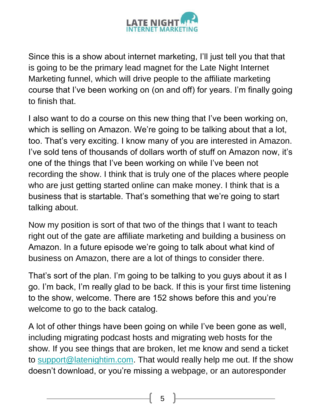

Since this is a show about internet marketing, I'll just tell you that that is going to be the primary lead magnet for the Late Night Internet Marketing funnel, which will drive people to the affiliate marketing course that I've been working on (on and off) for years. I'm finally going to finish that.

I also want to do a course on this new thing that I've been working on, which is selling on Amazon. We're going to be talking about that a lot, too. That's very exciting. I know many of you are interested in Amazon. I've sold tens of thousands of dollars worth of stuff on Amazon now, it's one of the things that I've been working on while I've been not recording the show. I think that is truly one of the places where people who are just getting started online can make money. I think that is a business that is startable. That's something that we're going to start talking about.

Now my position is sort of that two of the things that I want to teach right out of the gate are affiliate marketing and building a business on Amazon. In a future episode we're going to talk about what kind of business on Amazon, there are a lot of things to consider there.

That's sort of the plan. I'm going to be talking to you guys about it as I go. I'm back, I'm really glad to be back. If this is your first time listening to the show, welcome. There are 152 shows before this and you're welcome to go to the back catalog.

A lot of other things have been going on while I've been gone as well, including migrating podcast hosts and migrating web hosts for the show. If you see things that are broken, let me know and send a ticket to [support@latenightim.com.](mailto:support@latenightim.com) That would really help me out. If the show doesn't download, or you're missing a webpage, or an autoresponder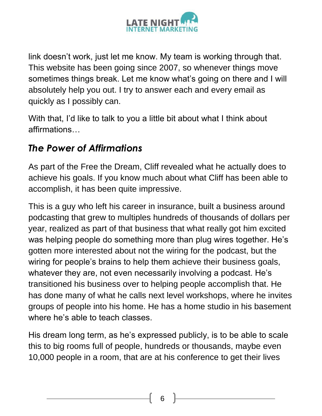

link doesn't work, just let me know. My team is working through that. This website has been going since 2007, so whenever things move sometimes things break. Let me know what's going on there and I will absolutely help you out. I try to answer each and every email as quickly as I possibly can.

With that, I'd like to talk to you a little bit about what I think about affirmations…

#### *The Power of Affirmations*

As part of the Free the Dream, Cliff revealed what he actually does to achieve his goals. If you know much about what Cliff has been able to accomplish, it has been quite impressive.

This is a guy who left his career in insurance, built a business around podcasting that grew to multiples hundreds of thousands of dollars per year, realized as part of that business that what really got him excited was helping people do something more than plug wires together. He's gotten more interested about not the wiring for the podcast, but the wiring for people's brains to help them achieve their business goals, whatever they are, not even necessarily involving a podcast. He's transitioned his business over to helping people accomplish that. He has done many of what he calls next level workshops, where he invites groups of people into his home. He has a home studio in his basement where he's able to teach classes.

His dream long term, as he's expressed publicly, is to be able to scale this to big rooms full of people, hundreds or thousands, maybe even 10,000 people in a room, that are at his conference to get their lives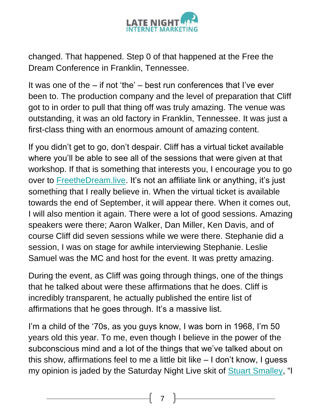

changed. That happened. Step 0 of that happened at the Free the Dream Conference in Franklin, Tennessee.

It was one of the  $-$  if not 'the'  $-$  best run conferences that I've ever been to. The production company and the level of preparation that Cliff got to in order to pull that thing off was truly amazing. The venue was outstanding, it was an old factory in Franklin, Tennessee. It was just a first-class thing with an enormous amount of amazing content.

If you didn't get to go, don't despair. Cliff has a virtual ticket available where you'll be able to see all of the sessions that were given at that workshop. If that is something that interests you, I encourage you to go over to **FreetheDream.live.** It's not an affiliate link or anything, it's just something that I really believe in. When the virtual ticket is available towards the end of September, it will appear there. When it comes out, I will also mention it again. There were a lot of good sessions. Amazing speakers were there; Aaron Walker, Dan Miller, Ken Davis, and of course Cliff did seven sessions while we were there. Stephanie did a session, I was on stage for awhile interviewing Stephanie. Leslie Samuel was the MC and host for the event. It was pretty amazing.

During the event, as Cliff was going through things, one of the things that he talked about were these affirmations that he does. Cliff is incredibly transparent, he actually published the entire list of affirmations that he goes through. It's a massive list.

I'm a child of the '70s, as you guys know, I was born in 1968, I'm 50 years old this year. To me, even though I believe in the power of the subconscious mind and a lot of the things that we've talked about on this show, affirmations feel to me a little bit like – I don't know, I guess my opinion is jaded by the Saturday Night Live skit of [Stuart Smalley,](https://en.wikipedia.org/wiki/Stuart_Smalley) "I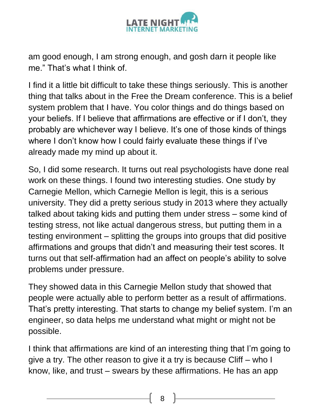

am good enough, I am strong enough, and gosh darn it people like me." That's what I think of.

I find it a little bit difficult to take these things seriously. This is another thing that talks about in the Free the Dream conference. This is a belief system problem that I have. You color things and do things based on your beliefs. If I believe that affirmations are effective or if I don't, they probably are whichever way I believe. It's one of those kinds of things where I don't know how I could fairly evaluate these things if I've already made my mind up about it.

So, I did some research. It turns out real psychologists have done real work on these things. I found two interesting studies. One study by Carnegie Mellon, which Carnegie Mellon is legit, this is a serious university. They did a pretty serious study in 2013 where they actually talked about taking kids and putting them under stress – some kind of testing stress, not like actual dangerous stress, but putting them in a testing environment – splitting the groups into groups that did positive affirmations and groups that didn't and measuring their test scores. It turns out that self-affirmation had an affect on people's ability to solve problems under pressure.

They showed data in this Carnegie Mellon study that showed that people were actually able to perform better as a result of affirmations. That's pretty interesting. That starts to change my belief system. I'm an engineer, so data helps me understand what might or might not be possible.

I think that affirmations are kind of an interesting thing that I'm going to give a try. The other reason to give it a try is because Cliff – who I know, like, and trust – swears by these affirmations. He has an app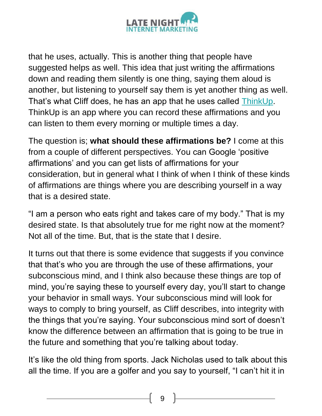

that he uses, actually. This is another thing that people have suggested helps as well. This idea that just writing the affirmations down and reading them silently is one thing, saying them aloud is another, but listening to yourself say them is yet another thing as well. That's what Cliff does, he has an app that he uses called [ThinkUp.](http://thinkup.me/) ThinkUp is an app where you can record these affirmations and you can listen to them every morning or multiple times a day.

The question is; **what should these affirmations be?** I come at this from a couple of different perspectives. You can Google 'positive affirmations' and you can get lists of affirmations for your consideration, but in general what I think of when I think of these kinds of affirmations are things where you are describing yourself in a way that is a desired state.

"I am a person who eats right and takes care of my body." That is my desired state. Is that absolutely true for me right now at the moment? Not all of the time. But, that is the state that I desire.

It turns out that there is some evidence that suggests if you convince that that's who you are through the use of these affirmations, your subconscious mind, and I think also because these things are top of mind, you're saying these to yourself every day, you'll start to change your behavior in small ways. Your subconscious mind will look for ways to comply to bring yourself, as Cliff describes, into integrity with the things that you're saying. Your subconscious mind sort of doesn't know the difference between an affirmation that is going to be true in the future and something that you're talking about today.

It's like the old thing from sports. Jack Nicholas used to talk about this all the time. If you are a golfer and you say to yourself, "I can't hit it in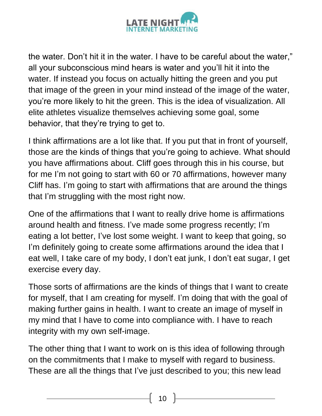

the water. Don't hit it in the water. I have to be careful about the water," all your subconscious mind hears is water and you'll hit it into the water. If instead you focus on actually hitting the green and you put that image of the green in your mind instead of the image of the water, you're more likely to hit the green. This is the idea of visualization. All elite athletes visualize themselves achieving some goal, some behavior, that they're trying to get to.

I think affirmations are a lot like that. If you put that in front of yourself, those are the kinds of things that you're going to achieve. What should you have affirmations about. Cliff goes through this in his course, but for me I'm not going to start with 60 or 70 affirmations, however many Cliff has. I'm going to start with affirmations that are around the things that I'm struggling with the most right now.

One of the affirmations that I want to really drive home is affirmations around health and fitness. I've made some progress recently; I'm eating a lot better, I've lost some weight. I want to keep that going, so I'm definitely going to create some affirmations around the idea that I eat well, I take care of my body, I don't eat junk, I don't eat sugar, I get exercise every day.

Those sorts of affirmations are the kinds of things that I want to create for myself, that I am creating for myself. I'm doing that with the goal of making further gains in health. I want to create an image of myself in my mind that I have to come into compliance with. I have to reach integrity with my own self-image.

The other thing that I want to work on is this idea of following through on the commitments that I make to myself with regard to business. These are all the things that I've just described to you; this new lead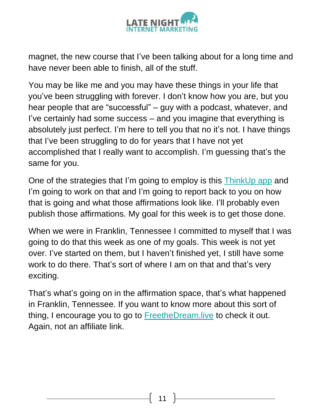

magnet, the new course that I've been talking about for a long time and have never been able to finish, all of the stuff.

You may be like me and you may have these things in your life that you've been struggling with forever. I don't know how you are, but you hear people that are "successful" – guy with a podcast, whatever, and I've certainly had some success – and you imagine that everything is absolutely just perfect. I'm here to tell you that no it's not. I have things that I've been struggling to do for years that I have not yet accomplished that I really want to accomplish. I'm guessing that's the same for you.

One of the strategies that I'm going to employ is this [ThinkUp app](http://thinkup.me/) and I'm going to work on that and I'm going to report back to you on how that is going and what those affirmations look like. I'll probably even publish those affirmations. My goal for this week is to get those done.

When we were in Franklin, Tennessee I committed to myself that I was going to do that this week as one of my goals. This week is not yet over. I've started on them, but I haven't finished yet, I still have some work to do there. That's sort of where I am on that and that's very exciting.

That's what's going on in the affirmation space, that's what happened in Franklin, Tennessee. If you want to know more about this sort of thing, I encourage you to go to [FreetheDream.live](http://freethedream.live/) to check it out. Again, not an affiliate link.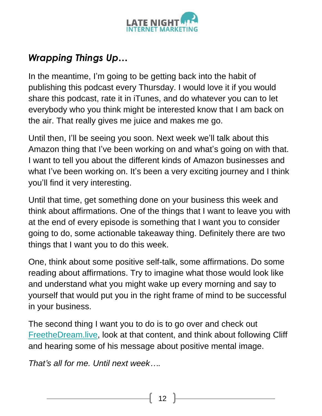

#### *Wrapping Things Up…*

In the meantime, I'm going to be getting back into the habit of publishing this podcast every Thursday. I would love it if you would share this podcast, rate it in iTunes, and do whatever you can to let everybody who you think might be interested know that I am back on the air. That really gives me juice and makes me go.

Until then, I'll be seeing you soon. Next week we'll talk about this Amazon thing that I've been working on and what's going on with that. I want to tell you about the different kinds of Amazon businesses and what I've been working on. It's been a very exciting journey and I think you'll find it very interesting.

Until that time, get something done on your business this week and think about affirmations. One of the things that I want to leave you with at the end of every episode is something that I want you to consider going to do, some actionable takeaway thing. Definitely there are two things that I want you to do this week.

One, think about some positive self-talk, some affirmations. Do some reading about affirmations. Try to imagine what those would look like and understand what you might wake up every morning and say to yourself that would put you in the right frame of mind to be successful in your business.

The second thing I want you to do is to go over and check out [FreetheDream.live,](http://freethedream.live/) look at that content, and think about following Cliff and hearing some of his message about positive mental image.

*That's all for me. Until next week….*